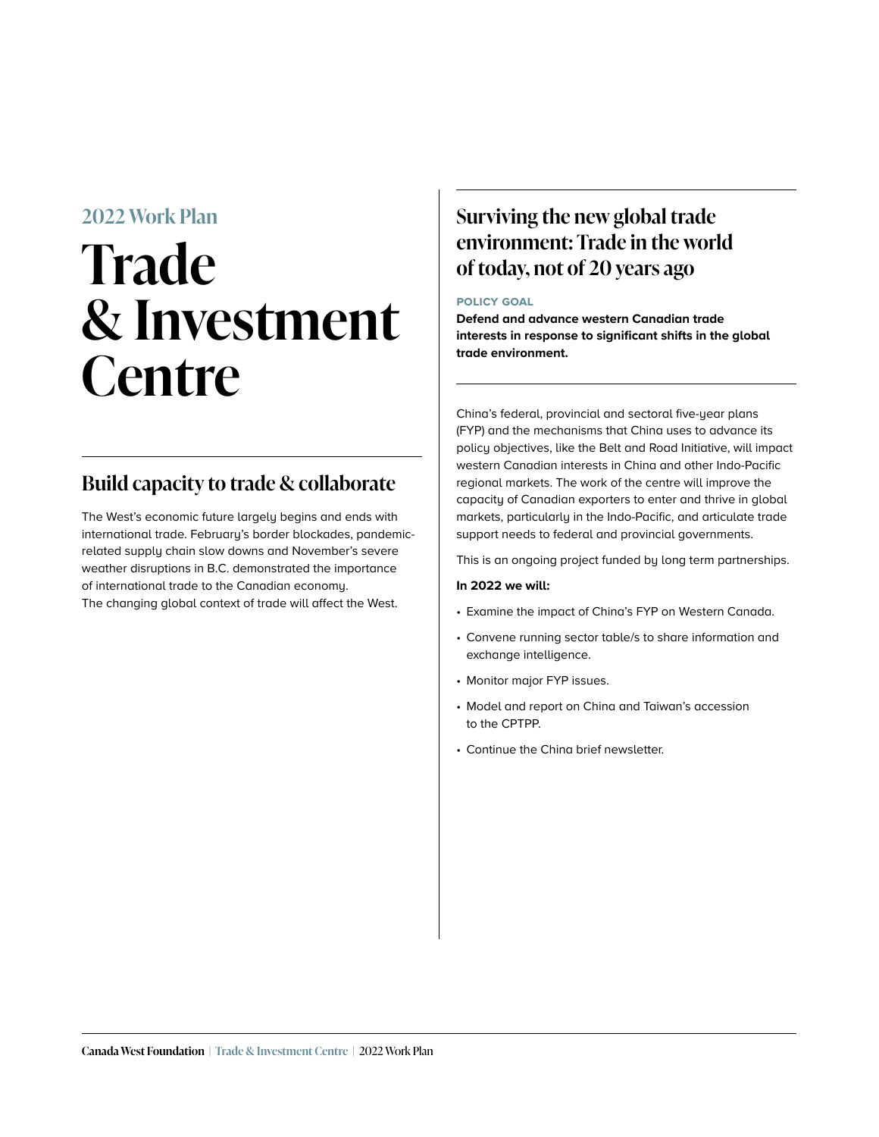## **2022 Work Plan**

# **Trade & Investment Centre**

## **Build capacity to trade & collaborate**

The West's economic future largely begins and ends with international trade. February's border blockades, pandemicrelated supply chain slow downs and November's severe weather disruptions in B.C. demonstrated the importance of international trade to the Canadian economy. The changing global context of trade will affect the West.

## **Surviving the new global trade environment: Trade in the world of today, not of 20 years ago**

## **policy goal**

**Defend and advance western Canadian trade interests in response to significant shifts in the global trade environment.** 

China's federal, provincial and sectoral five-year plans (FYP) and the mechanisms that China uses to advance its policy objectives, like the Belt and Road Initiative, will impact western Canadian interests in China and other Indo-Pacific regional markets. The work of the centre will improve the capacity of Canadian exporters to enter and thrive in global markets, particularly in the Indo-Pacific, and articulate trade support needs to federal and provincial governments.

This is an ongoing project funded by long term partnerships.

## **In 2022 we will:**

- Examine the impact of China's FYP on Western Canada.
- Convene running sector table/s to share information and exchange intelligence.
- Monitor major FYP issues.
- Model and report on China and Taiwan's accession to the CPTPP.
- Continue the China brief newsletter.